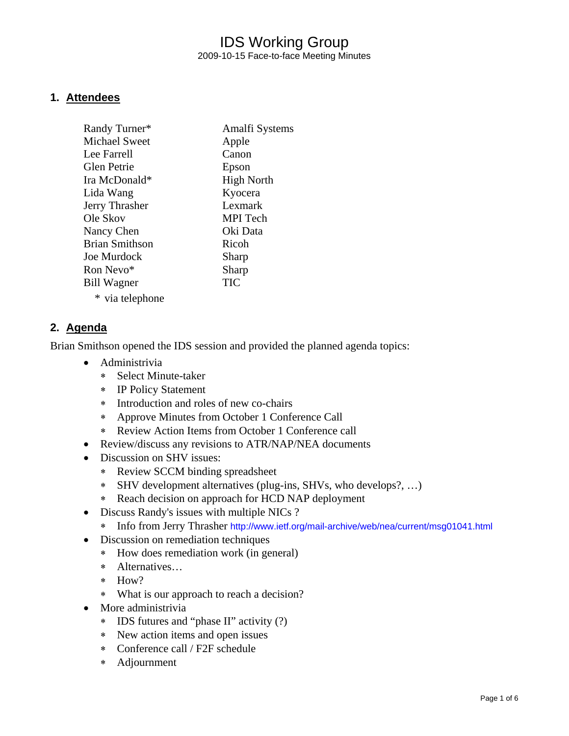## IDS Working Group 2009-10-15 Face-to-face Meeting Minutes

#### **1. Attendees**

| Randy Turner*         | Amalfi Systems    |
|-----------------------|-------------------|
| <b>Michael Sweet</b>  | Apple             |
| Lee Farrell           | Canon             |
| <b>Glen Petrie</b>    | Epson             |
| Ira McDonald*         | <b>High North</b> |
| Lida Wang             | Kyocera           |
| Jerry Thrasher        | Lexmark           |
| Ole Skov              | MPI Tech          |
| Nancy Chen            | Oki Data          |
| <b>Brian Smithson</b> | Ricoh             |
| <b>Joe Murdock</b>    | Sharp             |
| Ron Nevo*             | Sharp             |
| <b>Bill Wagner</b>    | <b>TIC</b>        |
| * via telephone       |                   |

#### **2. Agenda**

Brian Smithson opened the IDS session and provided the planned agenda topics:

- Administrivia
	- ∗ Select Minute-taker
	- ∗ IP Policy Statement
	- ∗ Introduction and roles of new co-chairs
	- ∗ Approve Minutes from October 1 Conference Call
	- ∗ Review Action Items from October 1 Conference call
- Review/discuss any revisions to ATR/NAP/NEA documents
- Discussion on SHV issues:
	- ∗ Review SCCM binding spreadsheet
	- ∗ SHV development alternatives (plug-ins, SHVs, who develops?, …)
	- ∗ Reach decision on approach for HCD NAP deployment
- Discuss Randy's issues with multiple NICs?
	- ∗ Info from Jerry Thrasher <http://www.ietf.org/mail-archive/web/nea/current/msg01041.html>
- Discussion on remediation techniques
	- ∗ How does remediation work (in general)
	- ∗ Alternatives…
	- ∗ How?
	- ∗ What is our approach to reach a decision?
- More administrivia
	- ∗ IDS futures and "phase II" activity (?)
	- ∗ New action items and open issues
	- ∗ Conference call / F2F schedule
	- ∗ Adjournment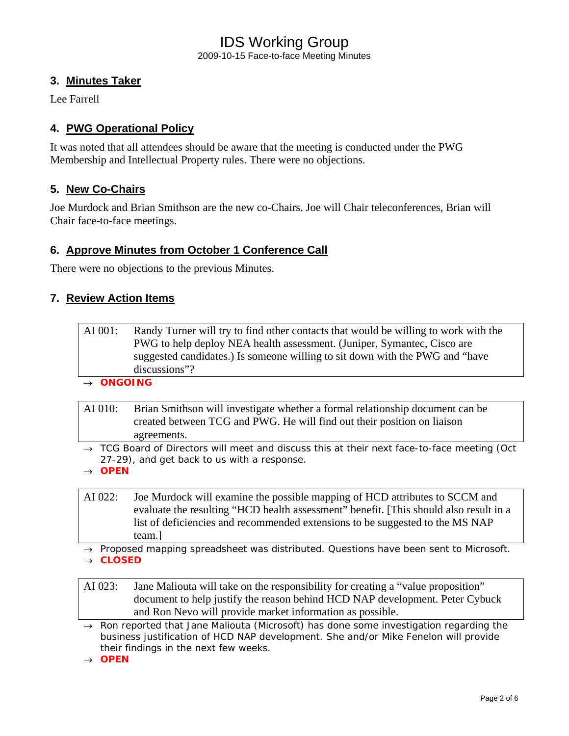## IDS Working Group 2009-10-15 Face-to-face Meeting Minutes

### **3. Minutes Taker**

Lee Farrell

### **4. PWG Operational Policy**

It was noted that all attendees should be aware that the meeting is conducted under the PWG Membership and Intellectual Property rules. There were no objections.

#### **5. New Co-Chairs**

Joe Murdock and Brian Smithson are the new co-Chairs. Joe will Chair teleconferences, Brian will Chair face-to-face meetings.

### **6. Approve Minutes from October 1 Conference Call**

There were no objections to the previous Minutes.

#### **7. Review Action Items**

AI 001: Randy Turner will try to find other contacts that would be willing to work with the PWG to help deploy NEA health assessment. (Juniper, Symantec, Cisco are suggested candidates.) Is someone willing to sit down with the PWG and "have discussions"?

→ *ONGOING*

- AI 010: Brian Smithson will investigate whether a formal relationship document can be created between TCG and PWG. He will find out their position on liaison agreements.
- → *TCG Board of Directors will meet and discuss this at their next face-to-face meeting (Oct 27-29), and get back to us with a response.*

→ *OPEN* 

- AI 022: Joe Murdock will examine the possible mapping of HCD attributes to SCCM and evaluate the resulting "HCD health assessment" benefit. [This should also result in a list of deficiencies and recommended extensions to be suggested to the MS NAP team.]
- → *Proposed mapping spreadsheet was distributed. Questions have been sent to Microsoft.*  → *CLOSED*

AI 023: Jane Maliouta will take on the responsibility for creating a "value proposition" document to help justify the reason behind HCD NAP development. Peter Cybuck and Ron Nevo will provide market information as possible.

→ *Ron reported that Jane Maliouta (Microsoft) has done some investigation regarding the business justification of HCD NAP development. She and/or Mike Fenelon will provide their findings in the next few weeks.* 

→ *OPEN*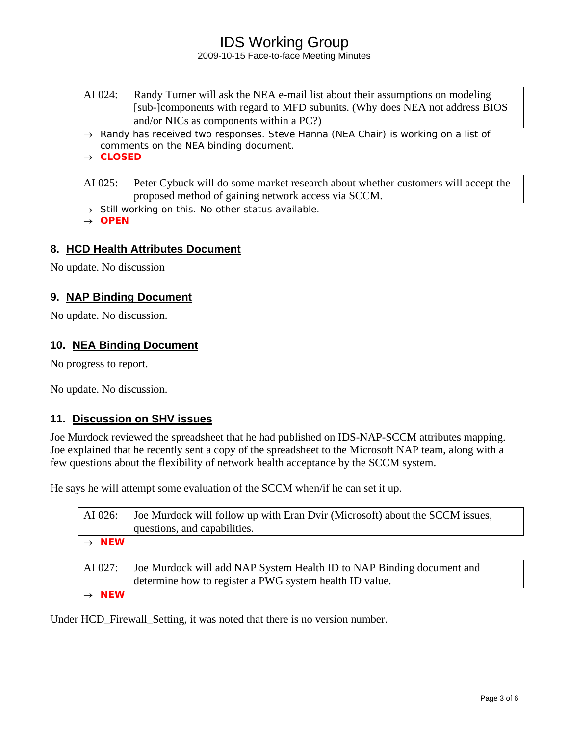# IDS Working Group

#### 2009-10-15 Face-to-face Meeting Minutes

- AI 024: Randy Turner will ask the NEA e-mail list about their assumptions on modeling [sub-]components with regard to MFD subunits. (Why does NEA not address BIOS and/or NICs as components within a PC?)
- → *Randy has received two responses. Steve Hanna (NEA Chair) is working on a list of comments on the NEA binding document.*

→ *CLOSED* 

AI 025: Peter Cybuck will do some market research about whether customers will accept the proposed method of gaining network access via SCCM.

→ *Still working on this. No other status available.* 

→ *OPEN*

#### **8. HCD Health Attributes Document**

No update. No discussion

#### **9. NAP Binding Document**

No update. No discussion.

#### **10. NEA Binding Document**

No progress to report.

No update. No discussion.

#### **11. Discussion on SHV issues**

Joe Murdock reviewed the spreadsheet that he had published on IDS-NAP-SCCM attributes mapping. Joe explained that he recently sent a copy of the spreadsheet to the Microsoft NAP team, along with a few questions about the flexibility of network health acceptance by the SCCM system.

He says he will attempt some evaluation of the SCCM when/if he can set it up.

| AI 026:                                              | Joe Murdock will follow up with Eran Dvir (Microsoft) about the SCCM issues,<br>questions, and capabilities.                     |
|------------------------------------------------------|----------------------------------------------------------------------------------------------------------------------------------|
| $\rightarrow$ NEW                                    |                                                                                                                                  |
| AI 027:                                              | Joe Murdock will add NAP System Health ID to NAP Binding document and<br>determine how to register a PWG system health ID value. |
| $\mathcal{L}$ $\mathbf{A}$ $\mathbf{E}$ $\mathbf{A}$ |                                                                                                                                  |

→ *NEW*

Under HCD\_Firewall\_Setting, it was noted that there is no version number.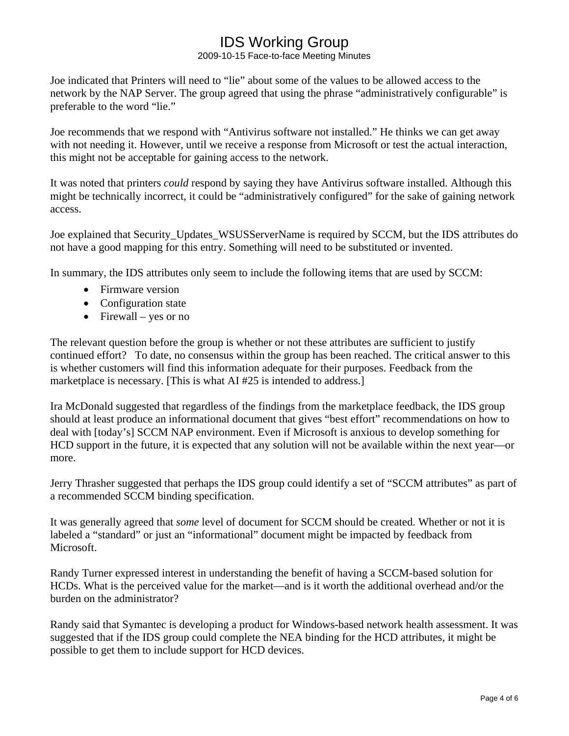# IDS Working Group

2009-10-15 Face-to-face Meeting Minutes

Joe indicated that Printers will need to "lie" about some of the values to be allowed access to the network by the NAP Server. The group agreed that using the phrase "administratively configurable" is preferable to the word "lie."

Joe recommends that we respond with "Antivirus software not installed." He thinks we can get away with not needing it. However, until we receive a response from Microsoft or test the actual interaction, this might not be acceptable for gaining access to the network.

It was noted that printers *could* respond by saying they have Antivirus software installed. Although this might be technically incorrect, it could be "administratively configured" for the sake of gaining network access.

Joe explained that Security\_Updates\_WSUSServerName is required by SCCM, but the IDS attributes do not have a good mapping for this entry. Something will need to be substituted or invented.

In summary, the IDS attributes only seem to include the following items that are used by SCCM:

- Firmware version
- Configuration state
- Firewall yes or no

The relevant question before the group is whether or not these attributes are sufficient to justify continued effort? To date, no consensus within the group has been reached. The critical answer to this is whether customers will find this information adequate for their purposes. Feedback from the marketplace is necessary. [This is what AI #25 is intended to address.]

Ira McDonald suggested that regardless of the findings from the marketplace feedback, the IDS group should at least produce an informational document that gives "best effort" recommendations on how to deal with [today's] SCCM NAP environment. Even if Microsoft is anxious to develop something for HCD support in the future, it is expected that any solution will not be available within the next year—or more.

Jerry Thrasher suggested that perhaps the IDS group could identify a set of "SCCM attributes" as part of a recommended SCCM binding specification.

It was generally agreed that *some* level of document for SCCM should be created. Whether or not it is labeled a "standard" or just an "informational" document might be impacted by feedback from Microsoft.

Randy Turner expressed interest in understanding the benefit of having a SCCM-based solution for HCDs. What is the perceived value for the market—and is it worth the additional overhead and/or the burden on the administrator?

Randy said that Symantec is developing a product for Windows-based network health assessment. It was suggested that if the IDS group could complete the NEA binding for the HCD attributes, it might be possible to get them to include support for HCD devices.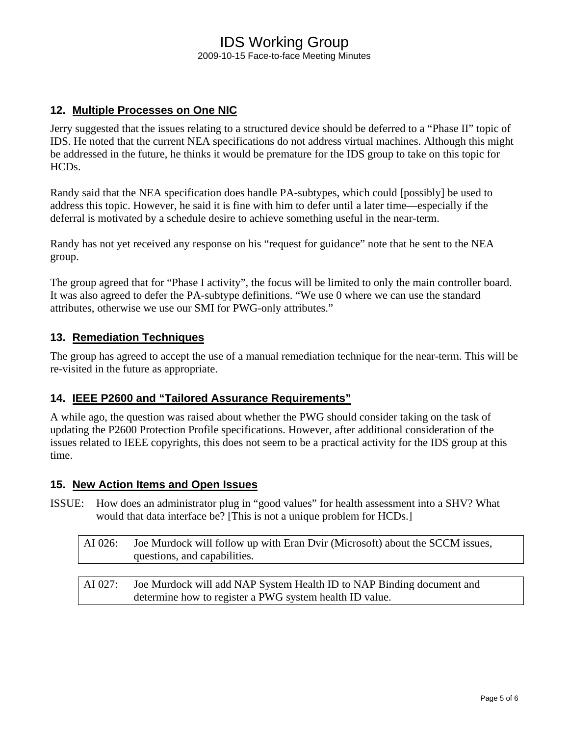### IDS Working Group 2009-10-15 Face-to-face Meeting Minutes

### **12. Multiple Processes on One NIC**

Jerry suggested that the issues relating to a structured device should be deferred to a "Phase II" topic of IDS. He noted that the current NEA specifications do not address virtual machines. Although this might be addressed in the future, he thinks it would be premature for the IDS group to take on this topic for HCDs.

Randy said that the NEA specification does handle PA-subtypes, which could [possibly] be used to address this topic. However, he said it is fine with him to defer until a later time—especially if the deferral is motivated by a schedule desire to achieve something useful in the near-term.

Randy has not yet received any response on his "request for guidance" note that he sent to the NEA group.

The group agreed that for "Phase I activity", the focus will be limited to only the main controller board. It was also agreed to defer the PA-subtype definitions. "We use 0 where we can use the standard attributes, otherwise we use our SMI for PWG-only attributes."

#### **13. Remediation Techniques**

The group has agreed to accept the use of a manual remediation technique for the near-term. This will be re-visited in the future as appropriate.

#### **14. IEEE P2600 and "Tailored Assurance Requirements"**

A while ago, the question was raised about whether the PWG should consider taking on the task of updating the P2600 Protection Profile specifications. However, after additional consideration of the issues related to IEEE copyrights, this does not seem to be a practical activity for the IDS group at this time.

#### **15. New Action Items and Open Issues**

ISSUE: How does an administrator plug in "good values" for health assessment into a SHV? What would that data interface be? [This is not a unique problem for HCDs.]

| AI 026: | Joe Murdock will follow up with Eran Dvir (Microsoft) about the SCCM issues, |
|---------|------------------------------------------------------------------------------|
|         | questions, and capabilities.                                                 |

AI 027: Joe Murdock will add NAP System Health ID to NAP Binding document and determine how to register a PWG system health ID value.